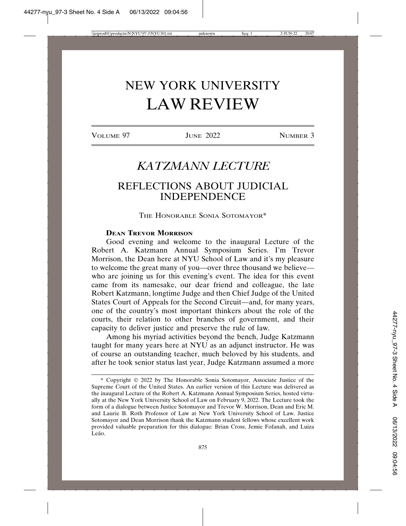# NEW YORK UNIVERSITY LAW REVIEW

VOLUME 97 JUNE 2022 **NUMBER 3** 

# *KATZMANN LECTURE*

# REFLECTIONS ABOUT JUDICIAL INDEPENDENCE

THE HONORABLE SONIA SOTOMAYOR\*

# **DEAN TREVOR MORRISON**

Good evening and welcome to the inaugural Lecture of the Robert A. Katzmann Annual Symposium Series. I'm Trevor Morrison, the Dean here at NYU School of Law and it's my pleasure to welcome the great many of you—over three thousand we believe who are joining us for this evening's event. The idea for this event came from its namesake, our dear friend and colleague, the late Robert Katzmann, longtime Judge and then Chief Judge of the United States Court of Appeals for the Second Circuit—and, for many years, one of the country's most important thinkers about the role of the courts, their relation to other branches of government, and their capacity to deliver justice and preserve the rule of law.

Among his myriad activities beyond the bench, Judge Katzmann taught for many years here at NYU as an adjunct instructor. He was of course an outstanding teacher, much beloved by his students, and after he took senior status last year, Judge Katzmann assumed a more

<sup>\*</sup> Copyright 2022 by The Honorable Sonia Sotomayor, Associate Justice of the Supreme Court of the United States. An earlier version of this Lecture was delivered as the inaugural Lecture of the Robert A. Katzmann Annual Symposium Series, hosted virtually at the New York University School of Law on February 9, 2022. The Lecture took the form of a dialogue between Justice Sotomayor and Trevor W. Morrison, Dean and Eric M. and Laurie B. Roth Professor of Law at New York University School of Law. Justice Sotomayor and Dean Morrison thank the Katzmann student fellows whose excellent work provided valuable preparation for this dialogue: Brian Cross, Jemie Fofanah, and Luiza Leão.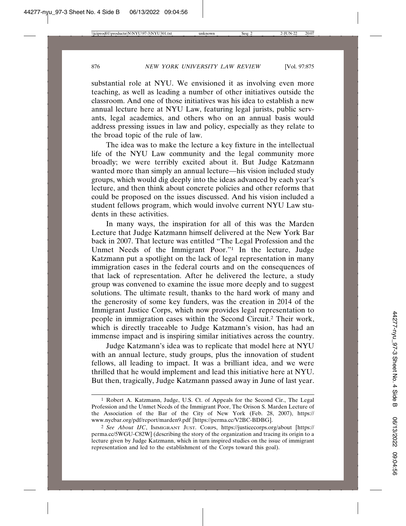substantial role at NYU. We envisioned it as involving even more teaching, as well as leading a number of other initiatives outside the classroom. And one of those initiatives was his idea to establish a new annual lecture here at NYU Law, featuring legal jurists, public servants, legal academics, and others who on an annual basis would address pressing issues in law and policy, especially as they relate to the broad topic of the rule of law.

The idea was to make the lecture a key fixture in the intellectual life of the NYU Law community and the legal community more broadly; we were terribly excited about it. But Judge Katzmann wanted more than simply an annual lecture—his vision included study groups, which would dig deeply into the ideas advanced by each year's lecture, and then think about concrete policies and other reforms that could be proposed on the issues discussed. And his vision included a student fellows program, which would involve current NYU Law students in these activities.

In many ways, the inspiration for all of this was the Marden Lecture that Judge Katzmann himself delivered at the New York Bar back in 2007. That lecture was entitled "The Legal Profession and the Unmet Needs of the Immigrant Poor."1 In the lecture, Judge Katzmann put a spotlight on the lack of legal representation in many immigration cases in the federal courts and on the consequences of that lack of representation. After he delivered the lecture, a study group was convened to examine the issue more deeply and to suggest solutions. The ultimate result, thanks to the hard work of many and the generosity of some key funders, was the creation in 2014 of the Immigrant Justice Corps, which now provides legal representation to people in immigration cases within the Second Circuit.2 Their work, which is directly traceable to Judge Katzmann's vision, has had an immense impact and is inspiring similar initiatives across the country.

Judge Katzmann's idea was to replicate that model here at NYU with an annual lecture, study groups, plus the innovation of student fellows, all leading to impact. It was a brilliant idea, and we were thrilled that he would implement and lead this initiative here at NYU. But then, tragically, Judge Katzmann passed away in June of last year.

<sup>1</sup> Robert A. Katzmann, Judge, U.S. Ct. of Appeals for the Second Cir., The Legal Profession and the Unmet Needs of the Immigrant Poor, The Orison S. Marden Lecture of the Association of the Bar of the City of New York (Feb. 28, 2007), https:// www.nycbar.org/pdf/report/marden9.pdf [https://perma.cc/V2BC-BDBG].

<sup>2</sup> *See About IJC*, IMMIGRANT JUST. CORPS, https://justicecorps.org/about [https:// perma.cc/5WGU-C82W] (describing the story of the organization and tracing its origin to a lecture given by Judge Katzmann, which in turn inspired studies on the issue of immigrant representation and led to the establishment of the Corps toward this goal).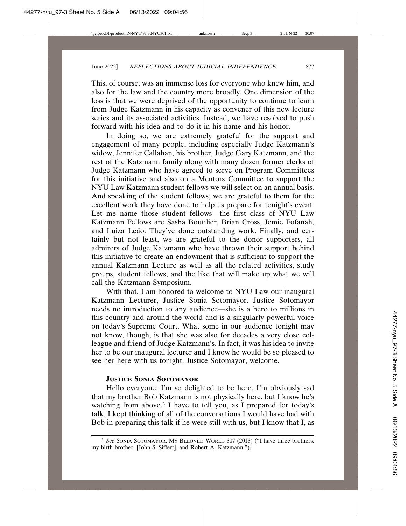This, of course, was an immense loss for everyone who knew him, and also for the law and the country more broadly. One dimension of the loss is that we were deprived of the opportunity to continue to learn from Judge Katzmann in his capacity as convener of this new lecture series and its associated activities. Instead, we have resolved to push forward with his idea and to do it in his name and his honor.

In doing so, we are extremely grateful for the support and engagement of many people, including especially Judge Katzmann's widow, Jennifer Callahan, his brother, Judge Gary Katzmann, and the rest of the Katzmann family along with many dozen former clerks of Judge Katzmann who have agreed to serve on Program Committees for this initiative and also on a Mentors Committee to support the NYU Law Katzmann student fellows we will select on an annual basis. And speaking of the student fellows, we are grateful to them for the excellent work they have done to help us prepare for tonight's event. Let me name those student fellows—the first class of NYU Law Katzmann Fellows are Sasha Boutilier, Brian Cross, Jemie Fofanah, and Luiza Leão. They've done outstanding work. Finally, and certainly but not least, we are grateful to the donor supporters, all admirers of Judge Katzmann who have thrown their support behind this initiative to create an endowment that is sufficient to support the annual Katzmann Lecture as well as all the related activities, study groups, student fellows, and the like that will make up what we will call the Katzmann Symposium.

With that, I am honored to welcome to NYU Law our inaugural Katzmann Lecturer, Justice Sonia Sotomayor. Justice Sotomayor needs no introduction to any audience—she is a hero to millions in this country and around the world and is a singularly powerful voice on today's Supreme Court. What some in our audience tonight may not know, though, is that she was also for decades a very close colleague and friend of Judge Katzmann's. In fact, it was his idea to invite her to be our inaugural lecturer and I know he would be so pleased to see her here with us tonight. Justice Sotomayor, welcome.

# **JUSTICE SONIA SOTOMAYOR**

Hello everyone. I'm so delighted to be here. I'm obviously sad that my brother Bob Katzmann is not physically here, but I know he's watching from above.<sup>3</sup> I have to tell you, as I prepared for today's talk, I kept thinking of all of the conversations I would have had with Bob in preparing this talk if he were still with us, but I know that I, as

<sup>3</sup> *See* SONIA SOTOMAYOR, MY BELOVED WORLD 307 (2013) ("I have three brothers: my birth brother, [John S. Siffert], and Robert A. Katzmann.").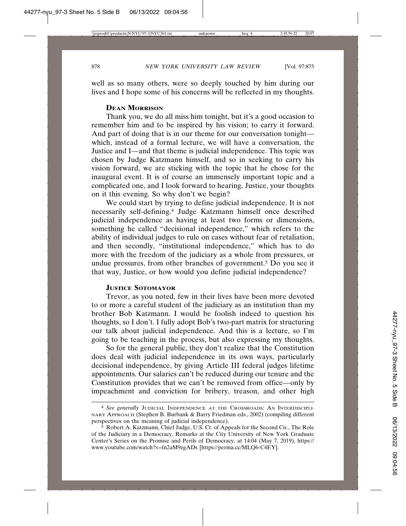well as so many others, were so deeply touched by him during our lives and I hope some of his concerns will be reflected in my thoughts.

# **DEAN MORRISON**

Thank you, we do all miss him tonight, but it's a good occasion to remember him and to be inspired by his vision; to carry it forward. And part of doing that is in our theme for our conversation tonight which, instead of a formal lecture, we will have a conversation, the Justice and I—and that theme is judicial independence. This topic was chosen by Judge Katzmann himself, and so in seeking to carry his vision forward, we are sticking with the topic that he chose for the inaugural event. It is of course an immensely important topic and a complicated one, and I look forward to hearing, Justice, your thoughts on it this evening. So why don't we begin?

We could start by trying to define judicial independence. It is not necessarily self-defining.4 Judge Katzmann himself once described judicial independence as having at least two forms or dimensions, something he called "decisional independence," which refers to the ability of individual judges to rule on cases without fear of retaliation, and then secondly, "institutional independence," which has to do more with the freedom of the judiciary as a whole from pressures, or undue pressures, from other branches of government.5 Do you see it that way, Justice, or how would you define judicial independence?

# **JUSTICE SOTOMAYOR**

Trevor, as you noted, few in their lives have been more devoted to or more a careful student of the judiciary as an institution than my brother Bob Katzmann. I would be foolish indeed to question his thoughts, so I don't. I fully adopt Bob's two-part matrix for structuring our talk about judicial independence. And this is a lecture, so I'm going to be teaching in the process, but also expressing my thoughts.

So for the general public, they don't realize that the Constitution does deal with judicial independence in its own ways, particularly decisional independence, by giving Article III federal judges lifetime appointments. Our salaries can't be reduced during our tenure and the Constitution provides that we can't be removed from office—only by impeachment and conviction for bribery, treason, and other high

<sup>4</sup> *See generally* JUDICIAL INDEPENDENCE AT THE CROSSROADS: AN INTERDISCIPLI-NARY APPROACH (Stephen B. Burbank & Barry Friedman eds., 2002) (compiling different perspectives on the meaning of judicial independence).

 $\overline{5}$  Robert A. Katzmann, Chief Judge, U.S. Ct. of Appeals for the Second Cir., The Role of the Judiciary in a Democracy, Remarks at the City University of New York Graduate Center's Series on the Promise and Perils of Democracy, at 14:04 (May 7, 2019), https:// www.youtube.com/watch?v=fn2aM9zgADs [https://perma.cc/MLQ6-C4EY].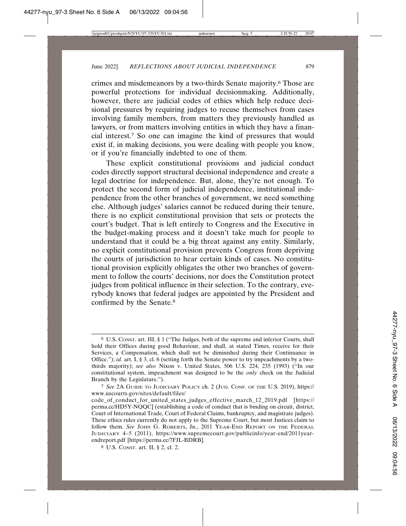crimes and misdemeanors by a two-thirds Senate majority.6 Those are powerful protections for individual decisionmaking. Additionally, however, there are judicial codes of ethics which help reduce decisional pressures by requiring judges to recuse themselves from cases involving family members, from matters they previously handled as lawyers, or from matters involving entities in which they have a financial interest.7 So one can imagine the kind of pressures that would exist if, in making decisions, you were dealing with people you know, or if you're financially indebted to one of them.

These explicit constitutional provisions and judicial conduct codes directly support structural decisional independence and create a legal doctrine for independence. But, alone, they're not enough. To protect the second form of judicial independence, institutional independence from the other branches of government, we need something else. Although judges' salaries cannot be reduced during their tenure, there is no explicit constitutional provision that sets or protects the court's budget. That is left entirely to Congress and the Executive in the budget-making process and it doesn't take much for people to understand that it could be a big threat against any entity. Similarly, no explicit constitutional provision prevents Congress from depriving the courts of jurisdiction to hear certain kinds of cases. No constitutional provision explicitly obligates the other two branches of government to follow the courts' decisions, nor does the Constitution protect judges from political influence in their selection. To the contrary, everybody knows that federal judges are appointed by the President and confirmed by the Senate.8

<sup>6</sup> U.S. CONST. art. III, § 1 ("The Judges, both of the supreme and inferior Courts, shall hold their Offices during good Behaviour, and shall, at stated Times, receive for their Services, a Compensation, which shall not be diminished during their Continuance in Office."); *id.* art. I, § 3, cl. 6 (setting forth the Senate power to try impeachments by a twothirds majority); *see also* Nixon v. United States, 506 U.S. 224, 235 (1993) ("In our constitutional system, impeachment was designed to be the *only* check on the Judicial Branch by the Legislature.").

<sup>7</sup> *See* 2A GUIDE TO JUDICIARY POLICY ch. 2 (JUD. CONF. OF THE U.S. 2019), https:// www.uscourts.gov/sites/default/files/

code\_of\_conduct\_for\_united\_states\_judges\_effective\_march\_12\_2019.pdf [https:// perma.cc/HD5Y-NQQC] (establishing a code of conduct that is binding on circuit, district, Court of International Trade, Court of Federal Claims, bankruptcy, and magistrate judges). These ethics rules currently do not apply to the Supreme Court, but most Justices claim to follow them. *See* JOHN G. ROBERTS, JR., 2011 YEAR-END REPORT ON THE FEDERAL JUDICIARY 4–5 (2011), https://www.supremecourt.gov/publicinfo/year-end/2011yearendreport.pdf [https://perma.cc/7FJL-BDRB].

<sup>8</sup> U.S. CONST. art. II, § 2, cl. 2.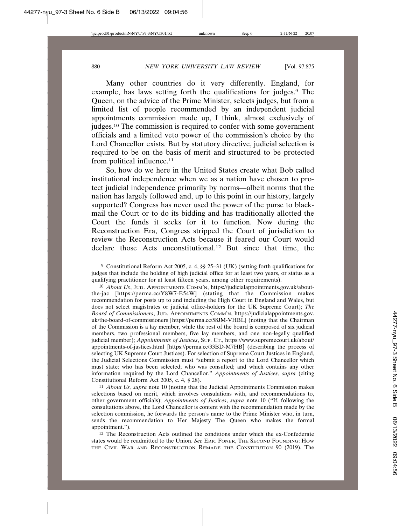Many other countries do it very differently. England, for example, has laws setting forth the qualifications for judges.<sup>9</sup> The Queen, on the advice of the Prime Minister, selects judges, but from a limited list of people recommended by an independent judicial appointments commission made up, I think, almost exclusively of judges.10 The commission is required to confer with some government officials and a limited veto power of the commission's choice by the Lord Chancellor exists. But by statutory directive, judicial selection is required to be on the basis of merit and structured to be protected from political influence.<sup>11</sup>

So, how do we here in the United States create what Bob called institutional independence when we as a nation have chosen to protect judicial independence primarily by norms—albeit norms that the nation has largely followed and, up to this point in our history, largely supported? Congress has never used the power of the purse to blackmail the Court or to do its bidding and has traditionally allotted the Court the funds it seeks for it to function. Now during the Reconstruction Era, Congress stripped the Court of jurisdiction to review the Reconstruction Acts because it feared our Court would declare those Acts unconstitutional.12 But since that time, the

11 *About Us*, *supra* note 10 (noting that the Judicial Appointments Commission makes selections based on merit, which involves consulations with, and recommendations to, other government officials); *Appointments of Justices*, *supra* note 10 ("If, following the consultations above, the Lord Chancellor is content with the recommendation made by the selection commission, he forwards the person's name to the Prime Minister who, in turn, sends the recommendation to Her Majesty The Queen who makes the formal appointment.").

12 The Reconstruction Acts outlined the conditions under which the ex-Confederate states would be readmitted to the Union. *See* ERIC FONER, THE SECOND FOUNDING: HOW THE CIVIL WAR AND RECONSTRUCTION REMADE THE CONSTITUTION 90 (2019). The

<sup>9</sup> Constitutional Reform Act 2005, c. 4, §§ 25–31 (UK) (setting forth qualifications for judges that include the holding of high judicial office for at least two years, or status as a qualifying practitioner for at least fifteen years, among other requirements).

<sup>10</sup> *About Us*, JUD. APPOINTMENTS COMM'N, https://judicialappointments.gov.uk/aboutthe-jac [https://perma.cc/Y8W7-E54W] (stating that the Commission makes recommendation for posts up to and including the High Court in England and Wales, but does not select magistrates or judicial office-holders for the UK Supreme Court); *The Board of Commissioners*, JUD. APPOINTMENTS COMM'N, https://judicialappointments.gov. uk/the-board-of-commissioners [https://perma.cc/58JM-VHBL] (noting that the Chairman of the Commission is a lay member, while the rest of the board is composed of six judicial members, two professional members, five lay members, and one non-legally qualified judicial member); *Appointments of Justices*, SUP. CT., https://www.supremecourt.uk/about/ appointments-of-justices.html [https://perma.cc/33BD-M7HB] (describing the process of selecting UK Supreme Court Justices). For selection of Supreme Court Justices in England, the Judicial Selections Commission must "submit a report to the Lord Chancellor which must state: who has been selected; who was consulted; and which contains any other information required by the Lord Chancellor." *Appointments of Justices*, *supra* (citing Constitutional Reform Act 2005, c. 4, § 28).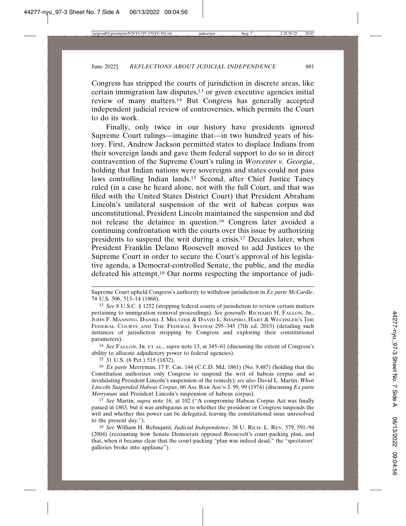Congress has stripped the courts of jurisdiction in discrete areas, like certain immigration law disputes,13 or given executive agencies initial review of many matters.14 But Congress has generally accepted independent judicial review of controversies, which permits the Court to do its work.

Finally, only twice in our history have presidents ignored Supreme Court rulings—imagine that—in two hundred years of history. First, Andrew Jackson permitted states to displace Indians from their sovereign lands and gave them federal support to do so in direct contravention of the Supreme Court's ruling in *Worcester v. Georgia*, holding that Indian nations were sovereigns and states could not pass laws controlling Indian lands.15 Second, after Chief Justice Taney ruled (in a case he heard alone, not with the full Court, and that was filed with the United States District Court) that President Abraham Lincoln's unilateral suspension of the writ of habeas corpus was unconstitutional, President Lincoln maintained the suspension and did not release the detainee in question.16 Congress later avoided a continuing confrontation with the courts over this issue by authorizing presidents to suspend the writ during a crisis.17 Decades later, when President Franklin Delano Roosevelt moved to add Justices to the Supreme Court in order to secure the Court's approval of his legislative agenda, a Democrat-controlled Senate, the public, and the media defeated his attempt.18 Our norms respecting the importance of judi-

14 *See* FALLON, JR. ET AL., *supra* note 13, at 345–61 (discussing the extent of Congress's ability to allocate adjudictory power to federal agencies).

15 31 U.S. (6 Pet.) 515 (1832).

Supreme Court upheld Congress's authority to withdraw jurisdiction in *Ex parte McCardle*, 74 U.S. 506, 513–14 (1868).

<sup>13</sup> *See* 8 U.S.C. § 1252 (stripping federal courts of jurisdiction to review certain matters pertaining to immigration removal proceedings). *See generally* RICHARD H. FALLON, JR., JOHN F. MANNING, DANIEL J. MELTZER & DAVID L. SHAPIRO, HART & WECHSLER'S THE FEDERAL COURTS AND THE FEDERAL SYSTEM 295–345 (7th ed. 2015) (detailing such instances of jurisdiction stripping by Congress and exploring their constitutional parameters).

<sup>16</sup> *Ex parte* Merryman, 17 F. Cas. 144 (C.C.D. Md. 1861) (No. 9,487) (holding that the Constitution authorizes only Congress to suspend the writ of habeas corpus and so invalidating President Lincoln's suspension of the remedy); *see also* David L. Martin, *When Lincoln Suspended Habeas Corpus*, 60 AM. BAR ASS'N J. 99, 99 (1974) (discussing *Ex parte Merryman* and President Lincoln's suspension of habeus corpus).

<sup>17</sup> *See* Martin, *supra* note 16, at 102 ("A compromise Habeas Corpus Act was finally passed in 1863, but it was ambiguous as to whether the president or Congress suspends the writ and whether this power can be delegated, leaving the constitutional issue unresolved to the present day.").

<sup>18</sup> *See* William H. Rehnquist, *Judicial Independence*, 38 U. RICH. L. REV. 579, 591–94 (2004) (recounting how Senate Democrats opposed Roosevelt's court-packing plan, and that, when it became clear that the court-packing "plan was indeed dead," the "spectators' galleries broke into applause").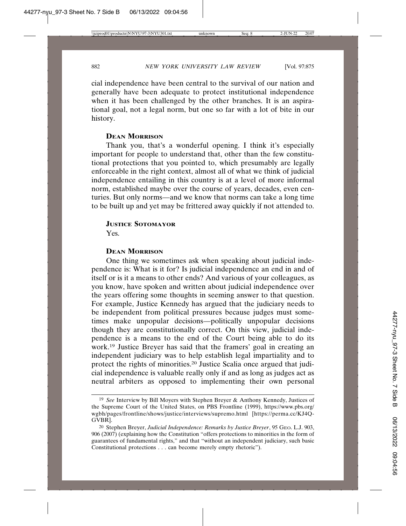cial independence have been central to the survival of our nation and generally have been adequate to protect institutional independence when it has been challenged by the other branches. It is an aspirational goal, not a legal norm, but one so far with a lot of bite in our history.

# **DEAN MORRISON**

Thank you, that's a wonderful opening. I think it's especially important for people to understand that, other than the few constitutional protections that you pointed to, which presumably are legally enforceable in the right context, almost all of what we think of judicial independence entailing in this country is at a level of more informal norm, established maybe over the course of years, decades, even centuries. But only norms—and we know that norms can take a long time to be built up and yet may be frittered away quickly if not attended to.

# **JUSTICE SOTOMAYOR**

Yes.

# **DEAN MORRISON**

One thing we sometimes ask when speaking about judicial independence is: What is it for? Is judicial independence an end in and of itself or is it a means to other ends? And various of your colleagues, as you know, have spoken and written about judicial independence over the years offering some thoughts in seeming answer to that question. For example, Justice Kennedy has argued that the judiciary needs to be independent from political pressures because judges must sometimes make unpopular decisions—politically unpopular decisions though they are constitutionally correct. On this view, judicial independence is a means to the end of the Court being able to do its work.19 Justice Breyer has said that the framers' goal in creating an independent judiciary was to help establish legal impartiality and to protect the rights of minorities.20 Justice Scalia once argued that judicial independence is valuable really only if and as long as judges act as neutral arbiters as opposed to implementing their own personal

<sup>19</sup> *See* Interview by Bill Moyers with Stephen Breyer & Anthony Kennedy, Justices of the Supreme Court of the United States, on PBS Frontline (1999), https://www.pbs.org/ wgbh/pages/frontline/shows/justice/interviews/supremo.html [https://perma.cc/KJ4Q-GVBR].

<sup>20</sup> Stephen Breyer, *Judicial Independence: Remarks by Justice Breyer*, 95 GEO. L.J. 903, 906 (2007) (explaining how the Constitution "offers protections to minorities in the form of guarantees of fundamental rights," and that "without an independent judiciary, such basic Constitutional protections . . . can become merely empty rhetoric").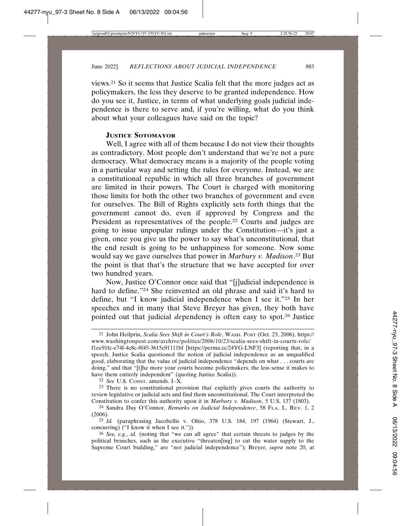views.21 So it seems that Justice Scalia felt that the more judges act as policymakers, the less they deserve to be granted independence. How do you see it, Justice, in terms of what underlying goals judicial independence is there to serve and, if you're willing, what do you think about what your colleagues have said on the topic?

# **JUSTICE SOTOMAYOR**

Well, I agree with all of them because I do not view their thoughts as contradictory. Most people don't understand that we're not a pure democracy. What democracy means is a majority of the people voting in a particular way and setting the rules for everyone. Instead, we are a constitutional republic in which all three branches of government are limited in their powers. The Court is charged with monitoring those limits for both the other two branches of government and even for ourselves. The Bill of Rights explicitly sets forth things that the government cannot do, even if approved by Congress and the President as representatives of the people.22 Courts and judges are going to issue unpopular rulings under the Constitution—it's just a given, once you give us the power to say what's unconstitutional, that the end result is going to be unhappiness for someone. Now some would say we gave ourselves that power in *Marbury v. Madison*. 23 But the point is that that's the structure that we have accepted for over two hundred years.

Now, Justice O'Connor once said that "[j]udicial independence is hard to define."24 She reinvented an old phrase and said it's hard to define, but "I know judicial independence when I see it."25 In her speeches and in many that Steve Breyer has given, they both have pointed out that judicial *de*pendency is often easy to spot.26 Justice

22 *See* U.S. CONST. amends. I–X.

23 There is no constitutional provision that explicitly gives courts the authority to review legislative or judicial acts and find them unconstitutional. The Court interpreted the Constitution to confer this authority upon it in *Marbury v. Madison*, 5 U.S. 137 (1803).

<sup>21</sup> John Heilprin, *Scalia Sees Shift in Court's Role*, WASH. POST (Oct. 23, 2006), https:// www.washingtonpost.com/archive/politics/2006/10/23/scalia-sees-shift-in-courts-role/ f1ee91fc-e74f-4c8c-8f45-3615c91111bf [https://perma.cc/24YG-LNF3] (reporting that, in a speech, Justice Scalia questioned the notion of judicial independence as an unqualified good, elaborating that the value of judicial independence "depends on what . . . courts are doing," and that "[t]he more your courts become policymakers, the less sense it makes to have them entirely independent" (quoting Justice Scalia)).

<sup>24</sup> Sandra Day O'Connor, *Remarks on Judicial Independence*, 58 FLA. L. REV. 1, 2 (2006).

<sup>25</sup> *Id.* (paraphrasing Jacobellis v. Ohio, 378 U.S. 184, 197 (1964) (Stewart, J., concurring) ("I know it when I see it.")).

<sup>26</sup> *See, e.g.*, *id.* (noting that "we can all agree" that certain threats to judges by the political branches, such as the executive "threaten[ing] to cut the water supply to the Supreme Court building," are "*not* judicial independence"); Breyer, *supra* note 20, at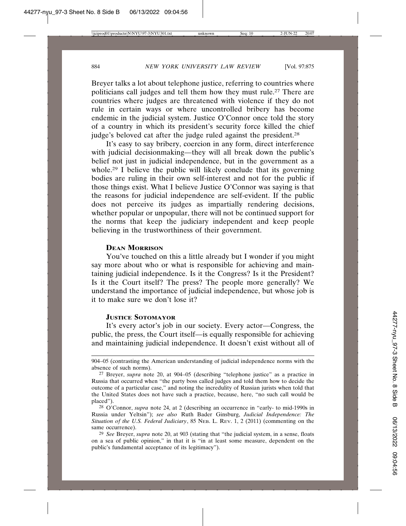Breyer talks a lot about telephone justice, referring to countries where politicians call judges and tell them how they must rule.27 There are countries where judges are threatened with violence if they do not rule in certain ways or where uncontrolled bribery has become endemic in the judicial system. Justice O'Connor once told the story of a country in which its president's security force killed the chief judge's beloved cat after the judge ruled against the president.<sup>28</sup>

It's easy to say bribery, coercion in any form, direct interference with judicial decisionmaking—they will all break down the public's belief not just in judicial independence, but in the government as a whole.<sup>29</sup> I believe the public will likely conclude that its governing bodies are ruling in their own self-interest and not for the public if those things exist. What I believe Justice O'Connor was saying is that the reasons for judicial independence are self-evident. If the public does not perceive its judges as impartially rendering decisions, whether popular or unpopular, there will not be continued support for the norms that keep the judiciary independent and keep people believing in the trustworthiness of their government.

#### **DEAN MORRISON**

You've touched on this a little already but I wonder if you might say more about who or what is responsible for achieving and maintaining judicial independence. Is it the Congress? Is it the President? Is it the Court itself? The press? The people more generally? We understand the importance of judicial independence, but whose job is it to make sure we don't lose it?

# **JUSTICE SOTOMAYOR**

It's every actor's job in our society. Every actor—Congress, the public, the press, the Court itself—is equally responsible for achieving and maintaining judicial independence. It doesn't exist without all of

<sup>904–05 (</sup>contrasting the American understanding of judicial independence norms with the absence of such norms).

<sup>27</sup> Breyer, *supra* note 20, at 904–05 (describing "telephone justice" as a practice in Russia that occurred when "the party boss called judges and told them how to decide the outcome of a particular case," and noting the incredulity of Russian jurists when told that the United States does not have such a practice, because, here, "no such call would be placed").

<sup>28</sup> O'Connor, *supra* note 24, at 2 (describing an occurrence in "early- to mid-1990s in Russia under Yeltsin"); *see also* Ruth Bader Ginsburg, *Judicial Independence: The Situation of the U.S. Federal Judiciary*, 85 NEB. L. REV. 1, 2 (2011) (commenting on the same occurrence).

<sup>29</sup> *See* Breyer, *supra* note 20, at 903 (stating that "the judicial system, in a sense, floats on a sea of public opinion," in that it is "in at least some measure, dependent on the public's fundamental acceptance of its legitimacy").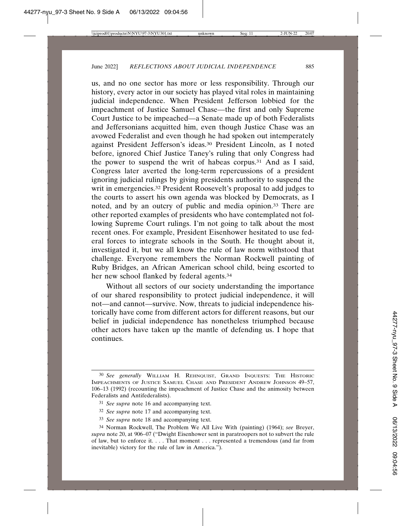us, and no one sector has more or less responsibility. Through our history, every actor in our society has played vital roles in maintaining judicial independence. When President Jefferson lobbied for the impeachment of Justice Samuel Chase—the first and only Supreme Court Justice to be impeached—a Senate made up of both Federalists and Jeffersonians acquitted him, even though Justice Chase was an avowed Federalist and even though he had spoken out intemperately against President Jefferson's ideas.30 President Lincoln, as I noted before, ignored Chief Justice Taney's ruling that only Congress had the power to suspend the writ of habeas corpus.31 And as I said, Congress later averted the long-term repercussions of a president ignoring judicial rulings by giving presidents authority to suspend the writ in emergencies.<sup>32</sup> President Roosevelt's proposal to add judges to the courts to assert his own agenda was blocked by Democrats, as I noted, and by an outcry of public and media opinion.33 There are other reported examples of presidents who have contemplated not following Supreme Court rulings. I'm not going to talk about the most recent ones. For example, President Eisenhower hesitated to use federal forces to integrate schools in the South. He thought about it, investigated it, but we all know the rule of law norm withstood that challenge. Everyone remembers the Norman Rockwell painting of Ruby Bridges, an African American school child, being escorted to her new school flanked by federal agents.<sup>34</sup>

Without all sectors of our society understanding the importance of our shared responsibility to protect judicial independence, it will not—and cannot—survive. Now, threats to judicial independence historically have come from different actors for different reasons, but our belief in judicial independence has nonetheless triumphed because other actors have taken up the mantle of defending us. I hope that continues.

- 32 *See supra* note 17 and accompanying text.
- 33 *See supra* note 18 and accompanying text.

<sup>30</sup> *See generally* WILLIAM H. REHNQUIST, GRAND INQUESTS: THE HISTORIC IMPEACHMENTS OF JUSTICE SAMUEL CHASE AND PRESIDENT ANDREW JOHNSON 49–57, 106–13 (1992) (recounting the impeachment of Justice Chase and the animosity between Federalists and Antifederalists).

<sup>31</sup> *See supra* note 16 and accompanying text.

<sup>34</sup> Norman Rockwell, The Problem We All Live With (painting) (1964); *see* Breyer, *supra* note 20, at 906–07 ("Dwight Eisenhower sent in paratroopers not to subvert the rule of law, but to enforce it. . . . That moment . . . represented a tremendous (and far from inevitable) victory for the rule of law in America.").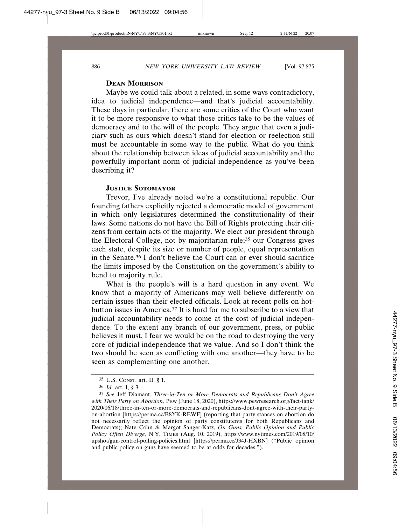# **DEAN MORRISON**

Maybe we could talk about a related, in some ways contradictory, idea to judicial independence—and that's judicial accountability. These days in particular, there are some critics of the Court who want it to be more responsive to what those critics take to be the values of democracy and to the will of the people. They argue that even a judiciary such as ours which doesn't stand for election or reelection still must be accountable in some way to the public. What do you think about the relationship between ideas of judicial accountability and the powerfully important norm of judicial independence as you've been describing it?

# **JUSTICE SOTOMAYOR**

Trevor, I've already noted we're a constitutional republic. Our founding fathers explicitly rejected a democratic model of government in which only legislatures determined the constitutionality of their laws. Some nations do not have the Bill of Rights protecting their citizens from certain acts of the majority. We elect our president through the Electoral College, not by majoritarian rule;35 our Congress gives each state, despite its size or number of people, equal representation in the Senate.36 I don't believe the Court can or ever should sacrifice the limits imposed by the Constitution on the government's ability to bend to majority rule.

What is the people's will is a hard question in any event. We know that a majority of Americans may well believe differently on certain issues than their elected officials. Look at recent polls on hotbutton issues in America.37 It is hard for me to subscribe to a view that judicial accountability needs to come at the cost of judicial independence. To the extent any branch of our government, press, or public believes it must, I fear we would be on the road to destroying the very core of judicial independence that we value. And so I don't think the two should be seen as conflicting with one another—they have to be seen as complementing one another.

<sup>35</sup> U.S. CONST. art. II, § 1.

<sup>36</sup> *Id.* art. I, § 3.

<sup>37</sup> *See* Jeff Diamant, *Three-in-Ten or More Democrats and Republicans Don't Agree with Their Party on Abortion*, PEW (June 18, 2020), https://www.pewresearch.org/fact-tank/ 2020/06/18/three-in-ten-or-more-democrats-and-republicans-dont-agree-with-their-partyon-abortion [https://perma.cc/B8YK-REWF] (reporting that party stances on abortion do not necessarily reflect the opinion of party constitutents for both Republicans and Democrats); Nate Cohn & Margot Sanger-Katz, *On Guns, Public Opinion and Public Policy Often Diverge*, N.Y. TIMES (Aug. 10, 2019), https://www.nytimes.com/2019/08/10/ upshot/gun-control-polling-policies.html [https://perma.cc/J34J-HXBN] ("Public opinion and public policy on guns have seemed to be at odds for decades.").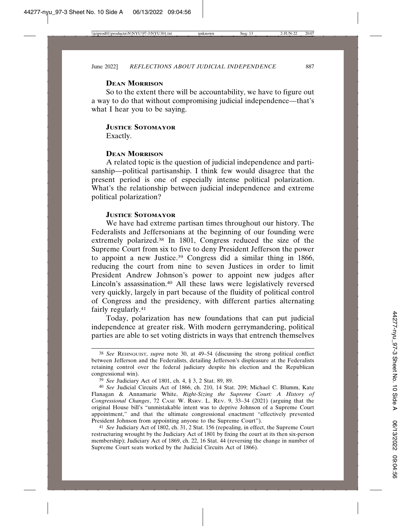#### **DEAN MORRISON**

So to the extent there will be accountability, we have to figure out a way to do that without compromising judicial independence—that's what I hear you to be saying.

# **JUSTICE SOTOMAYOR**

Exactly.

#### **DEAN MORRISON**

A related topic is the question of judicial independence and partisanship—political partisanship. I think few would disagree that the present period is one of especially intense political polarization. What's the relationship between judicial independence and extreme political polarization?

# **JUSTICE SOTOMAYOR**

We have had extreme partisan times throughout our history. The Federalists and Jeffersonians at the beginning of our founding were extremely polarized.38 In 1801, Congress reduced the size of the Supreme Court from six to five to deny President Jefferson the power to appoint a new Justice.39 Congress did a similar thing in 1866, reducing the court from nine to seven Justices in order to limit President Andrew Johnson's power to appoint new judges after Lincoln's assassination.40 All these laws were legislatively reversed very quickly, largely in part because of the fluidity of political control of Congress and the presidency, with different parties alternating fairly regularly.41

Today, polarization has new foundations that can put judicial independence at greater risk. With modern gerrymandering, political parties are able to set voting districts in ways that entrench themselves

<sup>38</sup> *See* REHNQUIST, *supra* note 30, at 49–54 (discussing the strong political conflict between Jefferson and the Federalists, detailing Jefferson's displeasure at the Federalists retaining control over the federal judiciary despite his election and the Republican congressional win).

<sup>39</sup> *See* Judiciary Act of 1801, ch. 4, § 3, 2 Stat. 89, 89.

<sup>40</sup> *See* Judicial Circuits Act of 1866, ch. 210, 14 Stat. 209; Michael C. Blumm, Kate Flanagan & Annamarie White, *Right-Sizing the Supreme Court: A History of Congressional Changes*, 72 CASE W. RSRV. L. REV. 9, 33–34 (2021) (arguing that the original House bill's "unmistakable intent was to deprive Johnson of a Supreme Court appointment," and that the ultimate congressional enactment "effectively prevented President Johnson from appointing anyone to the Supreme Court").

<sup>41</sup> *See* Judiciary Act of 1802, ch. 31, 2 Stat. 156 (repealing, in effect, the Supreme Court restructuring wrought by the Judiciary Act of 1801 by fixing the court at its then six-person membership); Judiciary Act of 1869, ch. 22, 16 Stat. 44 (reversing the change in number of Supreme Court seats worked by the Judicial Circuits Act of 1866).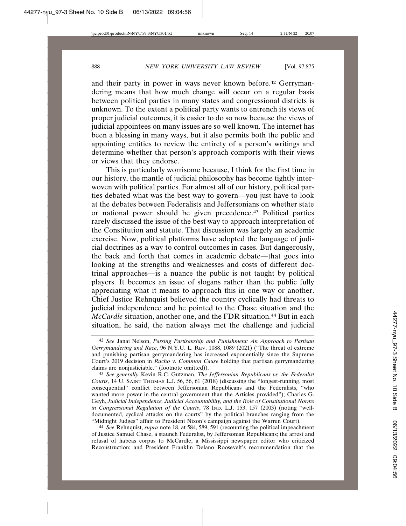and their party in power in ways never known before.42 Gerrymandering means that how much change will occur on a regular basis between political parties in many states and congressional districts is unknown. To the extent a political party wants to entrench its views of proper judicial outcomes, it is easier to do so now because the views of judicial appointees on many issues are so well known. The internet has been a blessing in many ways, but it also permits both the public and appointing entities to review the entirety of a person's writings and determine whether that person's approach comports with their views or views that they endorse.

This is particularly worrisome because, I think for the first time in our history, the mantle of judicial philosophy has become tightly interwoven with political parties. For almost all of our history, political parties debated what was the best way to govern—you just have to look at the debates between Federalists and Jeffersonians on whether state or national power should be given precedence.43 Political parties rarely discussed the issue of the best way to approach interpretation of the Constitution and statute. That discussion was largely an academic exercise. Now, political platforms have adopted the language of judicial doctrines as a way to control outcomes in cases. But dangerously, the back and forth that comes in academic debate—that goes into looking at the strengths and weaknesses and costs of different doctrinal approaches—is a nuance the public is not taught by political players. It becomes an issue of slogans rather than the public fully appreciating what it means to approach this in one way or another. Chief Justice Rehnquist believed the country cyclically had threats to judicial independence and he pointed to the Chase situation and the *McCardle* situation, another one, and the FDR situation.<sup>44</sup> But in each situation, he said, the nation always met the challenge and judicial

44 *See* Rehnquist, *supra* note 18, at 584, 589, 591 (recounting the political impeachment of Justice Samuel Chase, a staunch Federalist, by Jeffersonian Republicans; the arrest and refusal of habeas corpus to McCardle, a Mississippi newspaper editor who criticized Reconstruction; and President Franklin Delano Roosevelt's recommendation that the

<sup>42</sup> *See* Janai Nelson, *Parsing Partisanship and Punishment: An Approach to Partisan Gerrymandering and Race*, 96 N.Y.U. L. REV. 1088, 1089 (2021) ("The threat of extreme and punishing partisan gerrymandering has increased exponentially since the Supreme Court's 2019 decision in *Rucho v. Common Cause* holding that partisan gerrymandering claims are nonjusticiable." (footnote omitted)).

<sup>43</sup> *See generally* Kevin R.C. Gutzman, *The Jeffersonian Republicans vs. the Federalist Courts*, 14 U. SAINT THOMAS L.J. 56, 56, 61 (2018) (discussing the "longest-running, most consequential" conflict between Jeffersonian Republicans and the Federalists, "who wanted more power in the central government than the Articles provided"); Charles G. Geyh, *Judicial Independence, Judicial Accountability, and the Role of Constitutional Norms in Congressional Regulation of the Courts*, 78 IND. L.J. 153, 157 (2003) (noting "welldocumented, cyclical attacks on the courts" by the political branches ranging from the "Midnight Judges" affair to President Nixon's campaign against the Warren Court).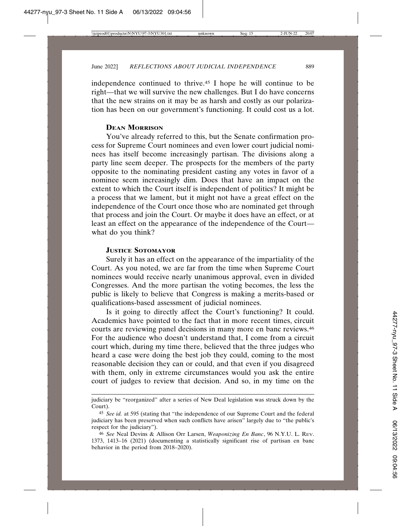independence continued to thrive.45 I hope he will continue to be right—that we will survive the new challenges. But I do have concerns that the new strains on it may be as harsh and costly as our polarization has been on our government's functioning. It could cost us a lot.

# **DEAN MORRISON**

You've already referred to this, but the Senate confirmation process for Supreme Court nominees and even lower court judicial nominees has itself become increasingly partisan. The divisions along a party line seem deeper. The prospects for the members of the party opposite to the nominating president casting any votes in favor of a nominee seem increasingly dim. Does that have an impact on the extent to which the Court itself is independent of politics? It might be a process that we lament, but it might not have a great effect on the independence of the Court once those who are nominated get through that process and join the Court. Or maybe it does have an effect, or at least an effect on the appearance of the independence of the Court what do you think?

#### **JUSTICE SOTOMAYOR**

Surely it has an effect on the appearance of the impartiality of the Court. As you noted, we are far from the time when Supreme Court nominees would receive nearly unanimous approval, even in divided Congresses. And the more partisan the voting becomes, the less the public is likely to believe that Congress is making a merits-based or qualifications-based assessment of judicial nominees.

Is it going to directly affect the Court's functioning? It could. Academics have pointed to the fact that in more recent times, circuit courts are reviewing panel decisions in many more en banc reviews.46 For the audience who doesn't understand that, I come from a circuit court which, during my time there, believed that the three judges who heard a case were doing the best job they could, coming to the most reasonable decision they can or could, and that even if you disagreed with them, only in extreme circumstances would you ask the entire court of judges to review that decision. And so, in my time on the

judiciary be "reorganized" after a series of New Deal legislation was struck down by the Court).

<sup>45</sup> *See id.* at 595 (stating that "the independence of our Supreme Court and the federal judiciary has been preserved when such conflicts have arisen" largely due to "the public's respect for the judiciary").

<sup>46</sup> *See* Neal Devins & Allison Orr Larsen, *Weaponizing En Banc*, 96 N.Y.U. L. REV. 1373, 1413–16 (2021) (documenting a statistically significant rise of partisan en banc behavior in the period from 2018–2020).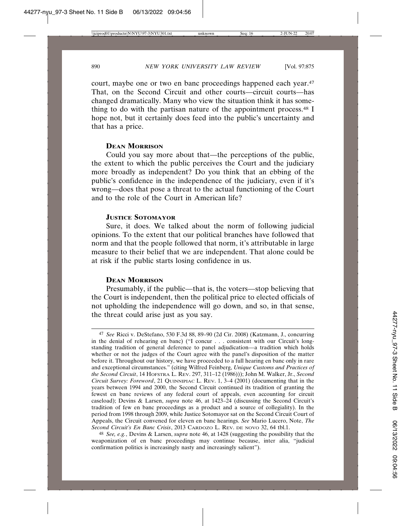court, maybe one or two en banc proceedings happened each year.47 That, on the Second Circuit and other courts—circuit courts—has changed dramatically. Many who view the situation think it has something to do with the partisan nature of the appointment process.48 I hope not, but it certainly does feed into the public's uncertainty and that has a price.

#### **DEAN MORRISON**

Could you say more about that—the perceptions of the public, the extent to which the public perceives the Court and the judiciary more broadly as independent? Do you think that an ebbing of the public's confidence in the independence of the judiciary, even if it's wrong—does that pose a threat to the actual functioning of the Court and to the role of the Court in American life?

# **JUSTICE SOTOMAYOR**

Sure, it does. We talked about the norm of following judicial opinions. To the extent that our political branches have followed that norm and that the people followed that norm, it's attributable in large measure to their belief that we are independent. That alone could be at risk if the public starts losing confidence in us.

#### **DEAN MORRISON**

Presumably, if the public—that is, the voters—stop believing that the Court is independent, then the political price to elected officials of not upholding the independence will go down, and so, in that sense, the threat could arise just as you say.

48 *See, e.g.*, Devins & Larsen, *supra* note 46, at 1428 (suggesting the possibility that the weaponization of en banc proceedings may continue because, inter alia, "judicial confirmation politics is increasingly nasty and increasingly salient").

<sup>47</sup> *See* Ricci v. DeStefano, 530 F.3d 88, 89–90 (2d Cir. 2008) (Katzmann, J., concurring in the denial of rehearing en banc) ("I concur . . . consistent with our Circuit's longstanding tradition of general deference to panel adjudication—a tradition which holds whether or not the judges of the Court agree with the panel's disposition of the matter before it. Throughout our history, we have proceeded to a full hearing en banc only in rare and exceptional circumstances." (citing Wilfred Feinberg, *Unique Customs and Practices of the Second Circuit*, 14 HOFSTRA L. REV. 297, 311–12 (1986))); John M. Walker, Jr., *Second Circuit Survey: Foreword*, 21 QUINNIPIAC L. REV. 1, 3–4 (2001) (documenting that in the years between 1994 and 2000, the Second Circuit continued its tradition of granting the fewest en banc reviews of any federal court of appeals, even accounting for circuit caseload); Devins & Larsen, *supra* note 46, at 1423–24 (discussing the Second Circuit's tradition of few en banc proceedings as a product and a source of collegiality). In the period from 1998 through 2009, while Justice Sotomayor sat on the Second Circuit Court of Appeals, the Circuit convened for eleven en banc hearings. *See* Mario Lucero, Note, *The Second Circuit's En Banc Crisis*, 2013 CARDOZO L. REV. DE NOVO 32, 64 tbl.1.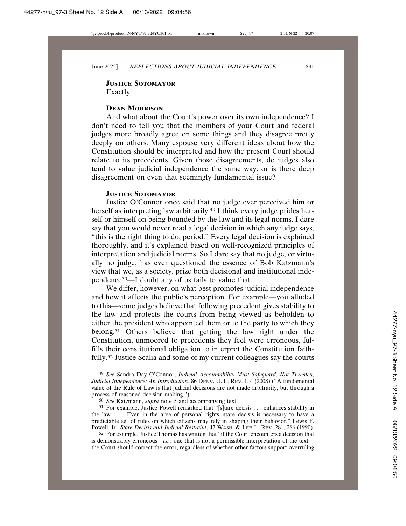# **JUSTICE SOTOMAYOR** Exactly.

# **DEAN MORRISON**

And what about the Court's power over its own independence? I don't need to tell you that the members of your Court and federal judges more broadly agree on some things and they disagree pretty deeply on others. Many espouse very different ideas about how the Constitution should be interpreted and how the present Court should relate to its precedents. Given those disagreements, do judges also tend to value judicial independence the same way, or is there deep disagreement on even that seemingly fundamental issue?

# **JUSTICE SOTOMAYOR**

Justice O'Connor once said that no judge ever perceived him or herself as interpreting law arbitrarily.49 I think every judge prides herself or himself on being bounded by the law and its legal norms. I dare say that you would never read a legal decision in which any judge says, "this is the right thing to do, period." Every legal decision is explained thoroughly, and it's explained based on well-recognized principles of interpretation and judicial norms. So I dare say that no judge, or virtually no judge, has ever questioned the essence of Bob Katzmann's view that we, as a society, prize both decisional and institutional independence50—I doubt any of us fails to value that.

We differ, however, on what best promotes judicial independence and how it affects the public's perception. For example—you alluded to this—some judges believe that following precedent gives stability to the law and protects the courts from being viewed as beholden to either the president who appointed them or to the party to which they belong.51 Others believe that getting the law right under the Constitution, unmoored to precedents they feel were erroneous, fulfills their constitutional obligation to interpret the Constitution faithfully.52 Justice Scalia and some of my current colleagues say the courts

<sup>49</sup> *See* Sandra Day O'Connor, *Judicial Accountability Must Safeguard, Not Threaten, Judicial Independence: An Introduction*, 86 DENV. U. L. REV. 1, 4 (2008) ("A fundamental value of the Rule of Law is that judicial decisions are not made arbitrarily, but through a process of reasoned decision making.").

<sup>50</sup> *See* Katzmann, *supra* note 5 and accompanying text.

<sup>51</sup> For example, Justice Powell remarked that "[s]tare decisis . . . enhances stability in the law. . . . Even in the area of personal rights, stare decisis is necessary to have a predictable set of rules on which citizens may rely in shaping their behavior." Lewis F. Powell, Jr., *Stare Decisis and Judicial Restraint*, 47 WASH. & LEE L. REV. 281, 286 (1990).

<sup>52</sup> For example, Justice Thomas has written that "if the Court encounters a decision that is demonstrably erroneous—*i.e.*, one that is not a permissible interpretation of the text the Court should correct the error, regardless of whether other factors support overruling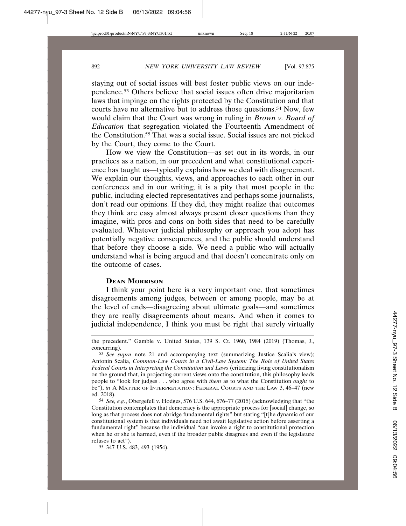staying out of social issues will best foster public views on our independence.53 Others believe that social issues often drive majoritarian laws that impinge on the rights protected by the Constitution and that courts have no alternative but to address those questions.<sup>54</sup> Now, few would claim that the Court was wrong in ruling in *Brown v. Board of Education* that segregation violated the Fourteenth Amendment of the Constitution.55 That was a social issue. Social issues are not picked by the Court, they come to the Court.

How we view the Constitution—as set out in its words, in our practices as a nation, in our precedent and what constitutional experience has taught us—typically explains how we deal with disagreement. We explain our thoughts, views, and approaches to each other in our conferences and in our writing; it is a pity that most people in the public, including elected representatives and perhaps some journalists, don't read our opinions. If they did, they might realize that outcomes they think are easy almost always present closer questions than they imagine, with pros and cons on both sides that need to be carefully evaluated. Whatever judicial philosophy or approach you adopt has potentially negative consequences, and the public should understand that before they choose a side. We need a public who will actually understand what is being argued and that doesn't concentrate only on the outcome of cases.

# **DEAN MORRISON**

I think your point here is a very important one, that sometimes disagreements among judges, between or among people, may be at the level of ends—disagreeing about ultimate goals—and sometimes they are really disagreements about means. And when it comes to judicial independence, I think you must be right that surely virtually

the precedent." Gamble v. United States, 139 S. Ct. 1960, 1984 (2019) (Thomas, J., concurring).

<sup>53</sup> *See supra* note 21 and accompanying text (summarizing Justice Scalia's view); Antonin Scalia, *Common-Law Courts in a Civil-Law System: The Role of United States Federal Courts in Interpreting the Constitution and Laws* (criticizing living constitutionalism on the ground that, in projecting current views onto the constitution, this philosophy leads people to "look for judges . . . who agree with *them* as to what the Constitution *ought* to be"), *in* A MATTER OF INTERPRETATION: FEDERAL COURTS AND THE LAW 3, 46-47 (new ed. 2018).

<sup>54</sup> *See, e.g.*, Obergefell v. Hodges, 576 U.S. 644, 676–77 (2015) (acknowledging that "the Constitution contemplates that democracy is the appropriate process for [social] change, so long as that process does not abridge fundamental rights" but stating "[t]he dynamic of our constitutional system is that individuals need not await legislative action before asserting a fundamental right" because the individual "can invoke a right to constitutional protection when he or she is harmed, even if the broader public disagrees and even if the legislature refuses to act").

<sup>55</sup> 347 U.S. 483, 493 (1954).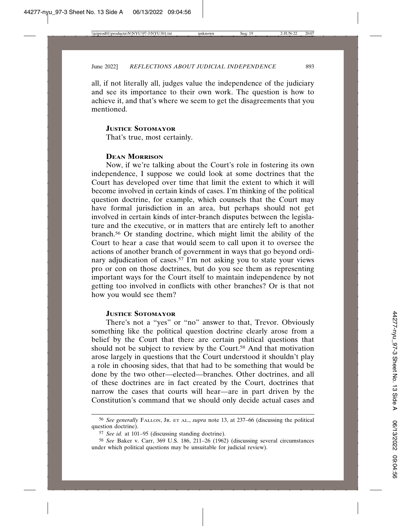all, if not literally all, judges value the independence of the judiciary and see its importance to their own work. The question is how to achieve it, and that's where we seem to get the disagreements that you mentioned.

# **JUSTICE SOTOMAYOR**

That's true, most certainly.

# **DEAN MORRISON**

Now, if we're talking about the Court's role in fostering its own independence, I suppose we could look at some doctrines that the Court has developed over time that limit the extent to which it will become involved in certain kinds of cases. I'm thinking of the political question doctrine, for example, which counsels that the Court may have formal jurisdiction in an area, but perhaps should not get involved in certain kinds of inter-branch disputes between the legislature and the executive, or in matters that are entirely left to another branch.56 Or standing doctrine, which might limit the ability of the Court to hear a case that would seem to call upon it to oversee the actions of another branch of government in ways that go beyond ordinary adjudication of cases.57 I'm not asking you to state your views pro or con on those doctrines, but do you see them as representing important ways for the Court itself to maintain independence by not getting too involved in conflicts with other branches? Or is that not how you would see them?

#### **JUSTICE SOTOMAYOR**

There's not a "yes" or "no" answer to that, Trevor. Obviously something like the political question doctrine clearly arose from a belief by the Court that there are certain political questions that should not be subject to review by the Court.58 And that motivation arose largely in questions that the Court understood it shouldn't play a role in choosing sides, that that had to be something that would be done by the two other—elected—branches. Other doctrines, and all of these doctrines are in fact created by the Court, doctrines that narrow the cases that courts will hear—are in part driven by the Constitution's command that we should only decide actual cases and

<sup>56</sup> *See generally* FALLON, JR. ET AL., *supra* note 13, at 237–66 (discussing the political question doctrine).

<sup>57</sup> *See id.* at 101–95 (discussing standing doctrine).

<sup>58</sup> *See* Baker v. Carr, 369 U.S. 186, 211–26 (1962) (discussing several circumstances under which political questions may be unsuitable for judicial review).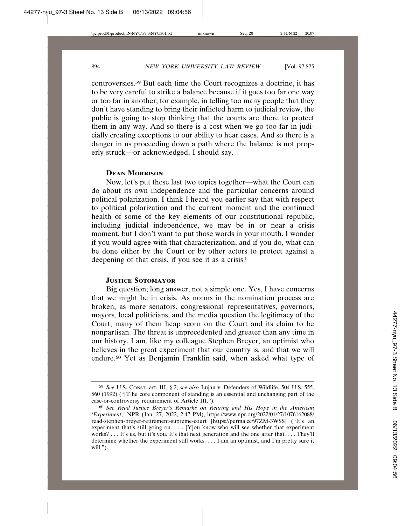controversies.59 But each time the Court recognizes a doctrine, it has to be very careful to strike a balance because if it goes too far one way or too far in another, for example, in telling too many people that they don't have standing to bring their inflicted harm to judicial review, the public is going to stop thinking that the courts are there to protect them in any way. And so there is a cost when we go too far in judicially creating exceptions to our ability to hear cases. And so there is a danger in us proceeding down a path where the balance is not properly struck—or acknowledged, I should say.

# **DEAN MORRISON**

Now, let's put these last two topics together—what the Court can do about its own independence and the particular concerns around political polarization. I think I heard you earlier say that with respect to political polarization and the current moment and the continued health of some of the key elements of our constitutional republic, including judicial independence, we may be in or near a crisis moment, but I don't want to put those words in your mouth. I wonder if you would agree with that characterization, and if you do, what can be done either by the Court or by other actors to protect against a deepening of that crisis, if you see it as a crisis?

# **JUSTICE SOTOMAYOR**

Big question; long answer, not a simple one. Yes, I have concerns that we might be in crisis. As norms in the nomination process are broken, as more senators, congressional representatives, governors, mayors, local politicians, and the media question the legitimacy of the Court, many of them heap scorn on the Court and its claim to be nonpartisan. The threat is unprecedented and greater than any time in our history. I am, like my colleague Stephen Breyer, an optimist who believes in the great experiment that our country is, and that we will endure.60 Yet as Benjamin Franklin said, when asked what type of

<sup>59</sup> *See* U.S. CONST. art. III, § 2; *see also* Lujan v. Defenders of Wildlife, 504 U.S. 555, 560 (1992) ("[T]he core component of standing is an essential and unchanging part of the case-or-controversy requirement of Article III.").

<sup>60</sup> *See Read Justice Breyer's Remarks on Retiring and His Hope in the American 'Experiment*,*'* NPR (Jan. 27, 2022, 2:47 PM), https://www.npr.org/2022/01/27/1076162088/ read-stephen-breyer-retirement-supreme-court [https://perma.cc/97ZM-3WSS] ("It's an experiment that's still going on. . . . [Y]ou know who will see whether that experiment works? . . . It's us, but it's you. It's that next generation and the one after that. . . . They'll determine whether the experiment still works. . . . I am an optimist, and I'm pretty sure it will.").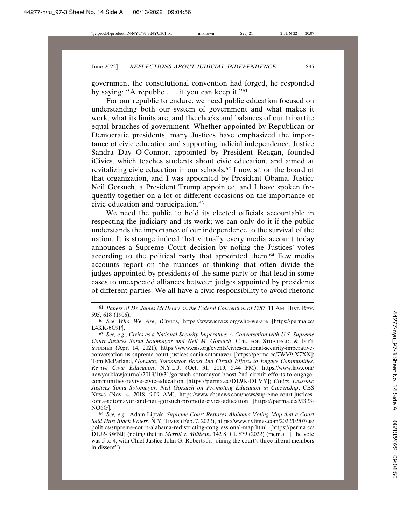government the constitutional convention had forged, he responded by saying: "A republic . . . if you can keep it."61

For our republic to endure, we need public education focused on understanding both our system of government and what makes it work, what its limits are, and the checks and balances of our tripartite equal branches of government. Whether appointed by Republican or Democratic presidents, many Justices have emphasized the importance of civic education and supporting judicial independence. Justice Sandra Day O'Connor, appointed by President Reagan, founded iCivics, which teaches students about civic education, and aimed at revitalizing civic education in our schools.62 I now sit on the board of that organization, and I was appointed by President Obama. Justice Neil Gorsuch, a President Trump appointee, and I have spoken frequently together on a lot of different occasions on the importance of civic education and participation.63

We need the public to hold its elected officials accountable in respecting the judiciary and its work; we can only do it if the public understands the importance of our independence to the survival of the nation. It is strange indeed that virtually every media account today announces a Supreme Court decision by noting the Justices' votes according to the political party that appointed them.64 Few media accounts report on the nuances of thinking that often divide the judges appointed by presidents of the same party or that lead in some cases to unexpected alliances between judges appointed by presidents of different parties. We all have a civic responsibility to avoid rhetoric

<sup>61</sup> *Papers of Dr. James McHenry on the Federal Convention of 1787*, 11 AM. HIST. REV. 595, 618 (1906).

<sup>62</sup> *See Who We Are*, ICIVICS, https://www.icivics.org/who-we-are [https://perma.cc/ L4KK-6C9P].

<sup>63</sup> *See, e.g.*, *Civics as a National Security Imperative: A Conversation with U.S. Supreme Court Justices Sonia Sotomayor and Neil M. Gorsuch*, CTR. FOR STRATEGIC & INT'L STUDIES (Apr. 14, 2021), https://www.csis.org/events/civics-national-security-imperativeconversation-us-supreme-court-justices-sonia-sotomayor [https://perma.cc/7WV9-X7XN]; Tom McParland, *Gorsuch, Sotomayor Boost 2nd Circuit Efforts to Engage Communities, Revive Civic Education*, N.Y.L.J. (Oct. 31, 2019, 5:44 PM), https://www.law.com/ newyorklawjournal/2019/10/31/gorsuch-sotomayor-boost-2nd-circuit-efforts-to-engagecommunities-revive-civic-education [https://perma.cc/DL9K-DLVY]; *Civics Lessons: Justices Sonia Sotomayor, Neil Gorsuch on Promoting Education in Citizenship*, CBS NEWS (Nov. 4, 2018, 9:09 AM), https://www.cbsnews.com/news/supreme-court-justicessonia-sotomayor-and-neil-gorsuch-promote-civics-education [https://perma.cc/M323- NQ6G].

<sup>64</sup> *See, e.g.*, Adam Liptak, *Supreme Court Restores Alabama Voting Map that a Court Said Hurt Black Voters*, N.Y. TIMES (Feb. 7, 2022), https://www.nytimes.com/2022/02/07/us/ politics/supreme-court-alabama-redistricting-congressional-map.html [https://perma.cc/ DLJ2-BWNJ] (noting that in *Merrill v. Milligan*, 142 S. Ct. 879 (2022) (mem.), "[t]he vote was 5 to 4, with Chief Justice John G. Roberts Jr. joining the court's three liberal members in dissent").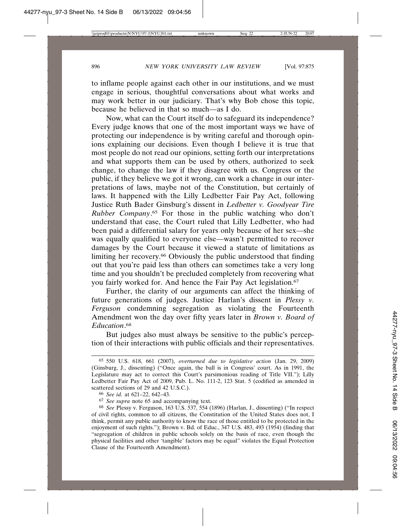to inflame people against each other in our institutions, and we must engage in serious, thoughtful conversations about what works and may work better in our judiciary. That's why Bob chose this topic, because he believed in that so much—as I do.

Now, what can the Court itself do to safeguard its independence? Every judge knows that one of the most important ways we have of protecting our independence is by writing careful and thorough opinions explaining our decisions. Even though I believe it is true that most people do not read our opinions, setting forth our interpretations and what supports them can be used by others, authorized to seek change, to change the law if they disagree with us. Congress or the public, if they believe we got it wrong, can work a change in our interpretations of laws, maybe not of the Constitution, but certainly of laws. It happened with the Lilly Ledbetter Fair Pay Act, following Justice Ruth Bader Ginsburg's dissent in *Ledbetter v. Goodyear Tire Rubber Company*. 65 For those in the public watching who don't understand that case, the Court ruled that Lilly Ledbetter, who had been paid a differential salary for years only because of her sex—she was equally qualified to everyone else—wasn't permitted to recover damages by the Court because it viewed a statute of limitations as limiting her recovery.66 Obviously the public understood that finding out that you're paid less than others can sometimes take a very long time and you shouldn't be precluded completely from recovering what you fairly worked for. And hence the Fair Pay Act legislation.<sup>67</sup>

Further, the clarity of our arguments can affect the thinking of future generations of judges. Justice Harlan's dissent in *Plessy v. Ferguson* condemning segregation as violating the Fourteenth Amendment won the day over fifty years later in *Brown v. Board of Education*. 68

But judges also must always be sensitive to the public's perception of their interactions with public officials and their representatives.

<sup>65</sup> 550 U.S. 618, 661 (2007), *overturned due to legislative action* (Jan. 29, 2009) (Ginsburg, J., dissenting) ("Once again, the ball is in Congress' court. As in 1991, the Legislature may act to correct this Court's parsimonious reading of Title VII."); Lilly Ledbetter Fair Pay Act of 2009, Pub. L. No. 111-2, 123 Stat. 5 (codified as amended in scattered sections of 29 and 42 U.S.C.).

<sup>66</sup> *See id.* at 621–22, 642–43.

<sup>67</sup> *See supra* note 65 and accompanying text.

<sup>68</sup> *See* Plessy v. Ferguson, 163 U.S. 537, 554 (1896) (Harlan, J., dissenting) ("In respect of civil rights, common to all citizens, the Constitution of the United States does not, I think, permit any public authority to know the race of those entitled to be protected in the enjoyment of such rights."); Brown v. Bd. of Educ., 347 U.S. 483, 493 (1954) (finding that "segregation of children in public schools solely on the basis of race, even though the physical facilities and other 'tangible' factors may be equal" violates the Equal Protection Clause of the Fourteenth Amendment).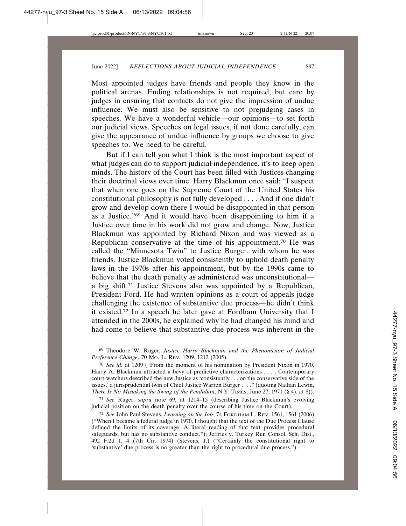Most appointed judges have friends and people they know in the political arenas. Ending relationships is not required, but care by judges in ensuring that contacts do not give the impression of undue influence. We must also be sensitive to not prejudging cases in speeches. We have a wonderful vehicle—our opinions—to set forth our judicial views. Speeches on legal issues, if not done carefully, can give the appearance of undue influence by groups we choose to give speeches to. We need to be careful.

But if I can tell you what I think is the most important aspect of what judges can do to support judicial independence, it's to keep open minds. The history of the Court has been filled with Justices changing their doctrinal views over time. Harry Blackmun once said: "I suspect that when one goes on the Supreme Court of the United States his constitutional philosophy is not fully developed . . . . And if one didn't grow and develop down there I would be disappointed in that person as a Justice."69 And it would have been disappointing to him if a Justice over time in his work did not grow and change. Now, Justice Blackmun was appointed by Richard Nixon and was viewed as a Republican conservative at the time of his appointment.70 He was called the "Minnesota Twin" to Justice Burger, with whom he was friends. Justice Blackmun voted consistently to uphold death penalty laws in the 1970s after his appointment, but by the 1990s came to believe that the death penalty as administered was unconstitutional a big shift.71 Justice Stevens also was appointed by a Republican, President Ford. He had written opinions as a court of appeals judge challenging the existence of substantive due process—he didn't think it existed.72 In a speech he later gave at Fordham University that I attended in the 2000s, he explained why he had changed his mind and had come to believe that substantive due process was inherent in the

<sup>69</sup> Theodore W. Ruger, *Justice Harry Blackmun and the Phenomenon of Judicial Preference Change*, 70 MO. L. REV. 1209, 1212 (2005).

<sup>70</sup> *See id.* at 1209 ("From the moment of his nomination by President Nixon in 1970, Harry A. Blackmun attracted a bevy of predictive characterizations . . . . Contemporary court-watchers described the new Justice as 'consistently . . . on the conservative side of the issues,' a jurisprudential twin of Chief Justice Warren Burger . . . ." (quoting Nathan Lewin, *There Is No Mistaking the Swing of the Pendulum*, N.Y. TIMES, June 27, 1971 (§ 4), at 8)).

<sup>71</sup> *See* Ruger, *supra* note 69, at 1214–15 (describing Justice Blackmun's evolving judicial position on the death penalty over the course of his time on the Court).

<sup>72</sup> *See* John Paul Stevens, *Learning on the Job*, 74 FORDHAM L. REV. 1561, 1561 (2006) ("When I became a federal judge in 1970, I thought that the text of the Due Process Clause defined the limits of its coverage. A literal reading of that text provides procedural safeguards, but has no substantive conduct."); Jeffries v. Turkey Run Consol. Sch. Dist., 492 F.2d 1, 4 (7th Cir. 1974) (Stevens, J.) ("Certainly the constitutional right to 'substantive' due process is no greater than the right to procedural due process.").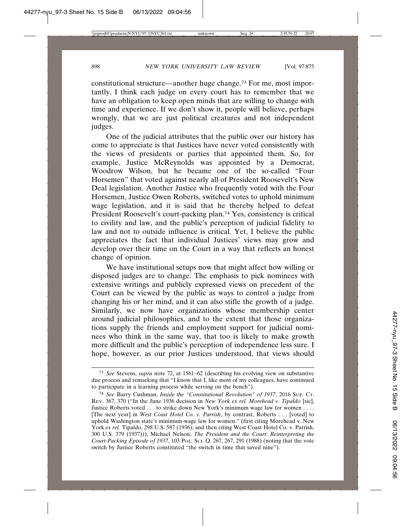constitutional structure—another huge change.73 For me, most importantly, I think each judge on every court has to remember that we have an obligation to keep open minds that are willing to change with time and experience. If we don't show it, people will believe, perhaps wrongly, that we are just political creatures and not independent judges.

One of the judicial attributes that the public over our history has come to appreciate is that Justices have never voted consistently with the views of presidents or parties that appointed them. So, for example, Justice McReynolds was appointed by a Democrat, Woodrow Wilson, but he became one of the so-called "Four Horsemen" that voted against nearly all of President Roosevelt's New Deal legislation. Another Justice who frequently voted with the Four Horsemen, Justice Owen Roberts, switched votes to uphold minimum wage legislation, and it is said that he thereby helped to defeat President Roosevelt's court-packing plan.74 Yes, consistency is critical to civility and law, and the public's perception of judicial fidelity to law and not to outside influence is critical. Yet, I believe the public appreciates the fact that individual Justices' views may grow and develop over their time on the Court in a way that reflects an honest change of opinion.

We have institutional setups now that might affect how willing or disposed judges are to change. The emphasis to pick nominees with extensive writings and publicly expressed views on precedent of the Court can be viewed by the public as ways to control a judge from changing his or her mind, and it can also stifle the growth of a judge. Similarly, we now have organizations whose membership center around judicial philosophies, and to the extent that those organizations supply the friends and employment support for judicial nominees who think in the same way, that too is likely to make growth more difficult and the public's perception of independence less sure. I hope, however, as our prior Justices understood, that views should

<sup>73</sup> *See* Stevens, *supra* note 72, at 1561–62 (describing his evolving view on substantive due process and remarking that "I know that I, like most of my colleagues, have continued to participate in a learning process while serving on the bench").

<sup>74</sup> *See* Barry Cushman, *Inside the "Constitutional Revolution" of 1937*, 2016 SUP. CT. REV. 367, 370 ("In the June 1936 decision in *New York ex rel. Morehead v. Tipaldo* [sic], Justice Roberts voted . . . to strike down New York's minimum wage law for women . . . . [The next year] in *West Coast Hotel Co. v. Parrish*, by contrast, Roberts . . . [voted] to uphold Washington state's minimum-wage law for women." (first citing Morehead v. New York *ex rel.* Tipaldo, 298 U.S. 587 (1936); and then citing West Coast Hotel Co. v. Parrish, 300 U.S. 379 (1937))); Michael Nelson, *The President and the Court: Reinterpreting the Court-Packing Episode of 1937*, 103 POL. SCI. Q. 267, 267, 291 (1988) (noting that the vote switch by Justice Roberts constituted "the switch in time that saved nine").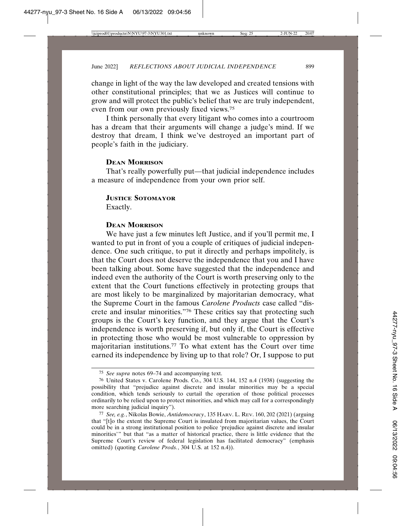change in light of the way the law developed and created tensions with other constitutional principles; that we as Justices will continue to grow and will protect the public's belief that we are truly independent, even from our own previously fixed views.75

I think personally that every litigant who comes into a courtroom has a dream that their arguments will change a judge's mind. If we destroy that dream, I think we've destroyed an important part of people's faith in the judiciary.

# **DEAN MORRISON**

That's really powerfully put—that judicial independence includes a measure of independence from your own prior self.

#### **JUSTICE SOTOMAYOR**

Exactly.

# **DEAN MORRISON**

We have just a few minutes left Justice, and if you'll permit me, I wanted to put in front of you a couple of critiques of judicial independence. One such critique, to put it directly and perhaps impolitely, is that the Court does not deserve the independence that you and I have been talking about. Some have suggested that the independence and indeed even the authority of the Court is worth preserving only to the extent that the Court functions effectively in protecting groups that are most likely to be marginalized by majoritarian democracy, what the Supreme Court in the famous *Carolene Products* case called "discrete and insular minorities."76 These critics say that protecting such groups is the Court's key function, and they argue that the Court's independence is worth preserving if, but only if, the Court is effective in protecting those who would be most vulnerable to oppression by majoritarian institutions.77 To what extent has the Court over time earned its independence by living up to that role? Or, I suppose to put

<sup>75</sup> *See supra* notes 69–74 and accompanying text.

<sup>76</sup> United States v. Carolene Prods. Co., 304 U.S. 144, 152 n.4 (1938) (suggesting the possibility that "prejudice against discrete and insular minorities may be a special condition, which tends seriously to curtail the operation of those political processes ordinarily to be relied upon to protect minorities, and which may call for a correspondingly more searching judicial inquiry").

<sup>77</sup> *See, e.g.*, Nikolas Bowie, *Antidemocracy*, 135 HARV. L. REV. 160, 202 (2021) (arguing that "[t]o the extent the Supreme Court is insulated from majoritarian values, the Court could be in a strong institutional position to police 'prejudice against discrete and insular minorities'" but that "as a matter of historical practice, there is little evidence that the Supreme Court's review of federal legislation has facilitated democracy" (emphasis omitted) (quoting *Carolene Prods.*, 304 U.S. at 152 n.4)).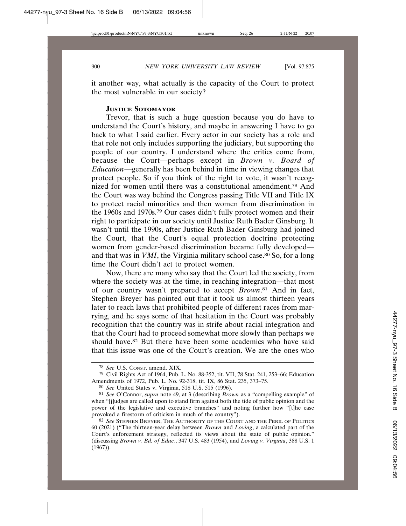it another way, what actually is the capacity of the Court to protect the most vulnerable in our society?

# **JUSTICE SOTOMAYOR**

Trevor, that is such a huge question because you do have to understand the Court's history, and maybe in answering I have to go back to what I said earlier. Every actor in our society has a role and that role not only includes supporting the judiciary, but supporting the people of our country. I understand where the critics come from, because the Court—perhaps except in *Brown v. Board of Education*—generally has been behind in time in viewing changes that protect people. So if you think of the right to vote, it wasn't recognized for women until there was a constitutional amendment.78 And the Court was way behind the Congress passing Title VII and Title IX to protect racial minorities and then women from discrimination in the 1960s and 1970s.79 Our cases didn't fully protect women and their right to participate in our society until Justice Ruth Bader Ginsburg. It wasn't until the 1990s, after Justice Ruth Bader Ginsburg had joined the Court, that the Court's equal protection doctrine protecting women from gender-based discrimination became fully developed and that was in *VMI*, the Virginia military school case.<sup>80</sup> So, for a long time the Court didn't act to protect women.

Now, there are many who say that the Court led the society, from where the society was at the time, in reaching integration—that most of our country wasn't prepared to accept *Brown*. 81 And in fact, Stephen Breyer has pointed out that it took us almost thirteen years later to reach laws that prohibited people of different races from marrying, and he says some of that hesitation in the Court was probably recognition that the country was in strife about racial integration and that the Court had to proceed somewhat more slowly than perhaps we should have.<sup>82</sup> But there have been some academics who have said that this issue was one of the Court's creation. We are the ones who

<sup>78</sup> *See* U.S. CONST. amend. XIX.

<sup>79</sup> Civil Rights Act of 1964, Pub. L. No. 88-352, tit. VII, 78 Stat. 241, 253–66; Education Amendments of 1972, Pub. L. No. 92-318, tit. IX, 86 Stat. 235, 373–75.

<sup>80</sup> *See* United States v. Virginia, 518 U.S. 515 (1996).

<sup>81</sup> *See* O'Connor, *supra* note 49, at 3 (describing *Brown* as a "compelling example" of when "[j]udges are called upon to stand firm against both the tide of public opinion and the power of the legislative and executive branches" and noting further how "[t]he case provoked a firestorm of criticism in much of the country").

<sup>82</sup> *See* STEPHEN BREYER, THE AUTHORITY OF THE COURT AND THE PERIL OF POLITICS 60 (2021) ("The thirteen-year delay between *Brown* and *Loving*, a calculated part of the Court's enforcement strategy, reflected its views about the state of public opinion." (discussing *Brown v. Bd. of Educ.*, 347 U.S. 483 (1954), and *Loving v. Virginia*, 388 U.S. 1  $(1967)$ ).